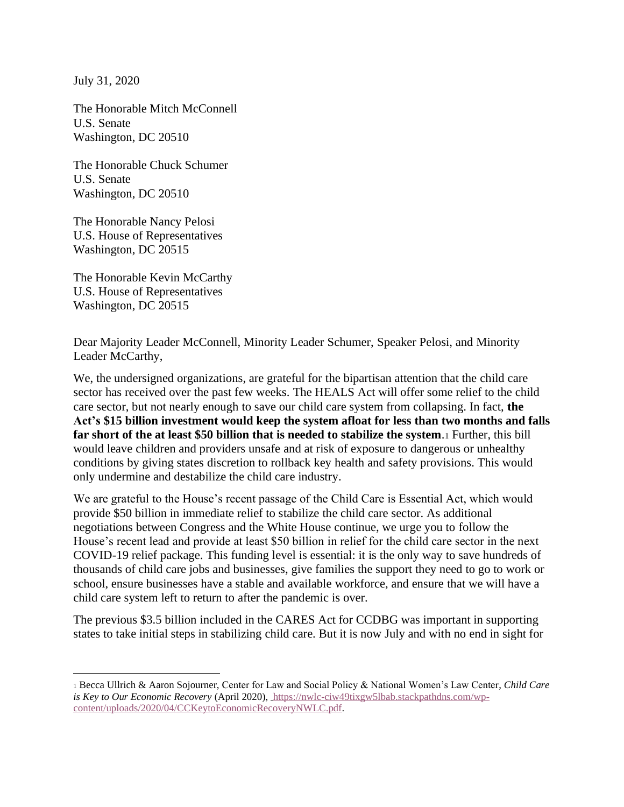July 31, 2020

The Honorable Mitch McConnell U.S. Senate Washington, DC 20510

The Honorable Chuck Schumer U.S. Senate Washington, DC 20510

The Honorable Nancy Pelosi U.S. House of Representatives Washington, DC 20515

The Honorable Kevin McCarthy U.S. House of Representatives Washington, DC 20515

Dear Majority Leader McConnell, Minority Leader Schumer, Speaker Pelosi, and Minority Leader McCarthy,

We, the undersigned organizations, are grateful for the bipartisan attention that the child care sector has received over the past few weeks. The HEALS Act will offer some relief to the child care sector, but not nearly enough to save our child care system from collapsing. In fact, **the Act's \$15 billion investment would keep the system afloat for less than two months and falls far short of the at least \$50 billion that is needed to stabilize the system**.<sup>1</sup> Further, this bill would leave children and providers unsafe and at risk of exposure to dangerous or unhealthy conditions by giving states discretion to rollback key health and safety provisions. This would only undermine and destabilize the child care industry.

We are grateful to the House's recent passage of the Child Care is Essential Act, which would provide \$50 billion in immediate relief to stabilize the child care sector. As additional negotiations between Congress and the White House continue, we urge you to follow the House's recent lead and provide at least \$50 billion in relief for the child care sector in the next COVID-19 relief package. This funding level is essential: it is the only way to save hundreds of thousands of child care jobs and businesses, give families the support they need to go to work or school, ensure businesses have a stable and available workforce, and ensure that we will have a child care system left to return to after the pandemic is over.

The previous \$3.5 billion included in the CARES Act for CCDBG was important in supporting states to take initial steps in stabilizing child care. But it is now July and with no end in sight for

<sup>1</sup> Becca Ullrich & Aaron Sojourner, Center for Law and Social Policy & National Women's Law Center, *Child Care is Key to Our Economic Recovery* (April 2020)[, https://nwlc-ciw49tixgw5lbab.stackpathdns.com/wp](https://nwlc-ciw49tixgw5lbab.stackpathdns.com/wp-content/uploads/2020/04/CCKeytoEconomicRecoveryNWLC.pdf)[content/uploads/2020/04/CCKeytoEconomicRecoveryNWLC.pdf.](https://nwlc-ciw49tixgw5lbab.stackpathdns.com/wp-content/uploads/2020/04/CCKeytoEconomicRecoveryNWLC.pdf)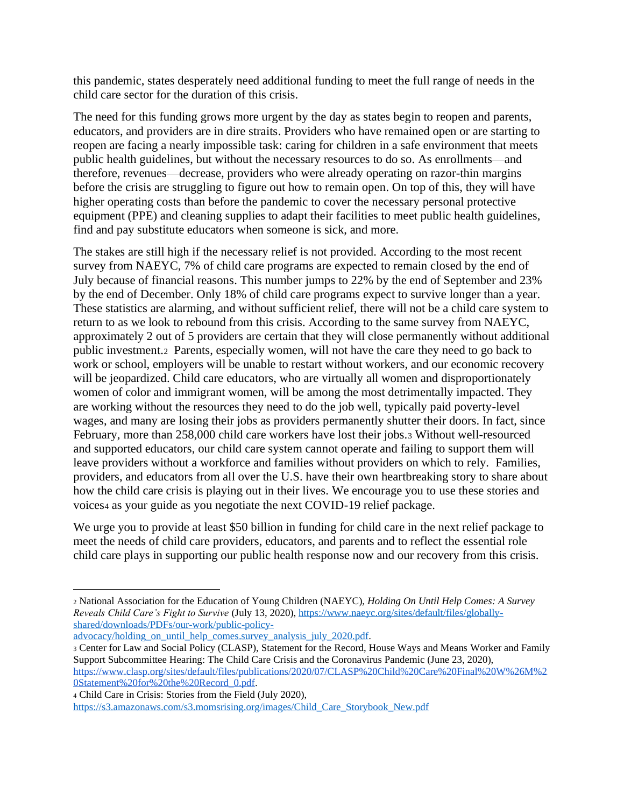this pandemic, states desperately need additional funding to meet the full range of needs in the child care sector for the duration of this crisis.

The need for this funding grows more urgent by the day as states begin to reopen and parents, educators, and providers are in dire straits. Providers who have remained open or are starting to reopen are facing a nearly impossible task: caring for children in a safe environment that meets public health guidelines, but without the necessary resources to do so. As enrollments—and therefore, revenues—decrease, providers who were already operating on razor-thin margins before the crisis are struggling to figure out how to remain open. On top of this, they will have higher operating costs than before the pandemic to cover the necessary personal protective equipment (PPE) and cleaning supplies to adapt their facilities to meet public health guidelines, find and pay substitute educators when someone is sick, and more.

The stakes are still high if the necessary relief is not provided. According to the most recent survey from NAEYC, 7% of child care programs are expected to remain closed by the end of July because of financial reasons. This number jumps to 22% by the end of September and 23% by the end of December. Only 18% of child care programs expect to survive longer than a year. These statistics are alarming, and without sufficient relief, there will not be a child care system to return to as we look to rebound from this crisis. According to the same survey from NAEYC, approximately 2 out of 5 providers are certain that they will close permanently without additional public investment.<sup>2</sup> Parents, especially women, will not have the care they need to go back to work or school, employers will be unable to restart without workers, and our economic recovery will be jeopardized. Child care educators, who are virtually all women and disproportionately women of color and immigrant women, will be among the most detrimentally impacted. They are working without the resources they need to do the job well, typically paid poverty-level wages, and many are losing their jobs as providers permanently shutter their doors. In fact, since February, more than 258,000 child care workers have lost their jobs.<sup>3</sup> Without well-resourced and supported educators, our child care system cannot operate and failing to support them will leave providers without a workforce and families without providers on which to rely. Families, providers, and educators from all over the U.S. have their own heartbreaking story to share about how the child care crisis is playing out in their lives. We encourage you to use these stories and voices<sup>4</sup> as your guide as you negotiate the next COVID-19 relief package.

We urge you to provide at least \$50 billion in funding for child care in the next relief package to meet the needs of child care providers, educators, and parents and to reflect the essential role child care plays in supporting our public health response now and our recovery from this crisis.

<sup>2</sup> National Association for the Education of Young Children (NAEYC), *Holding On Until Help Comes: A Survey Reveals Child Care's Fight to Survive* (July 13, 2020), [https://www.naeyc.org/sites/default/files/globally](https://www.naeyc.org/sites/default/files/globally-shared/downloads/PDFs/our-work/public-policy-advocacy/holding_on_until_help_comes.survey_analysis_july_2020.pdf)[shared/downloads/PDFs/our-work/public-policy-](https://www.naeyc.org/sites/default/files/globally-shared/downloads/PDFs/our-work/public-policy-advocacy/holding_on_until_help_comes.survey_analysis_july_2020.pdf)

[advocacy/holding\\_on\\_until\\_help\\_comes.survey\\_analysis\\_july\\_2020.pdf.](https://www.naeyc.org/sites/default/files/globally-shared/downloads/PDFs/our-work/public-policy-advocacy/holding_on_until_help_comes.survey_analysis_july_2020.pdf)

<sup>3</sup> Center for Law and Social Policy (CLASP), Statement for the Record, House Ways and Means Worker and Family Support Subcommittee Hearing: The Child Care Crisis and the Coronavirus Pandemic (June 23, 2020), [https://www.clasp.org/sites/default/files/publications/2020/07/CLASP%20Child%20Care%20Final%20W%26M%2](https://www.clasp.org/sites/default/files/publications/2020/07/CLASP%20Child%20Care%20Final%20W%26M%20Statement%20for%20the%20Record_0.pdf) [0Statement%20for%20the%20Record\\_0.pdf.](https://www.clasp.org/sites/default/files/publications/2020/07/CLASP%20Child%20Care%20Final%20W%26M%20Statement%20for%20the%20Record_0.pdf) 

<sup>4</sup> Child Care in Crisis: Stories from the Field (July 2020),

[https://s3.amazonaws.com/s3.momsrising.org/images/Child\\_Care\\_Storybook\\_New.pdf](https://s3.amazonaws.com/s3.momsrising.org/images/Child_Care_Storybook_New.pdf)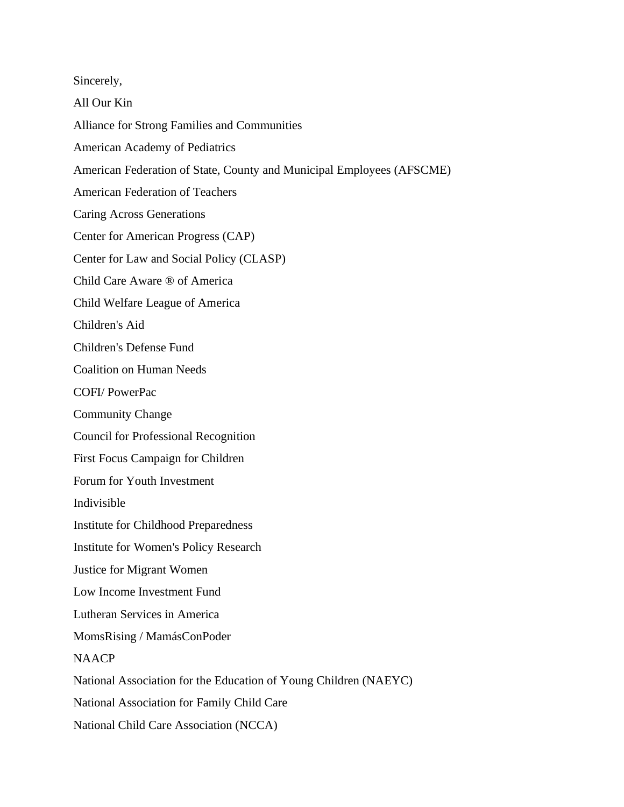Sincerely,

All Our Kin

Alliance for Strong Families and Communities

American Academy of Pediatrics

American Federation of State, County and Municipal Employees (AFSCME)

American Federation of Teachers

Caring Across Generations

Center for American Progress (CAP)

Center for Law and Social Policy (CLASP)

Child Care Aware ® of America

Child Welfare League of America

Children's Aid

Children's Defense Fund

Coalition on Human Needs

COFI/ PowerPac

Community Change

Council for Professional Recognition

First Focus Campaign for Children

Forum for Youth Investment

Indivisible

Institute for Childhood Preparedness

Institute for Women's Policy Research

Justice for Migrant Women

Low Income Investment Fund

Lutheran Services in America

MomsRising / MamásConPoder

**NAACP** 

National Association for the Education of Young Children (NAEYC)

National Association for Family Child Care

National Child Care Association (NCCA)